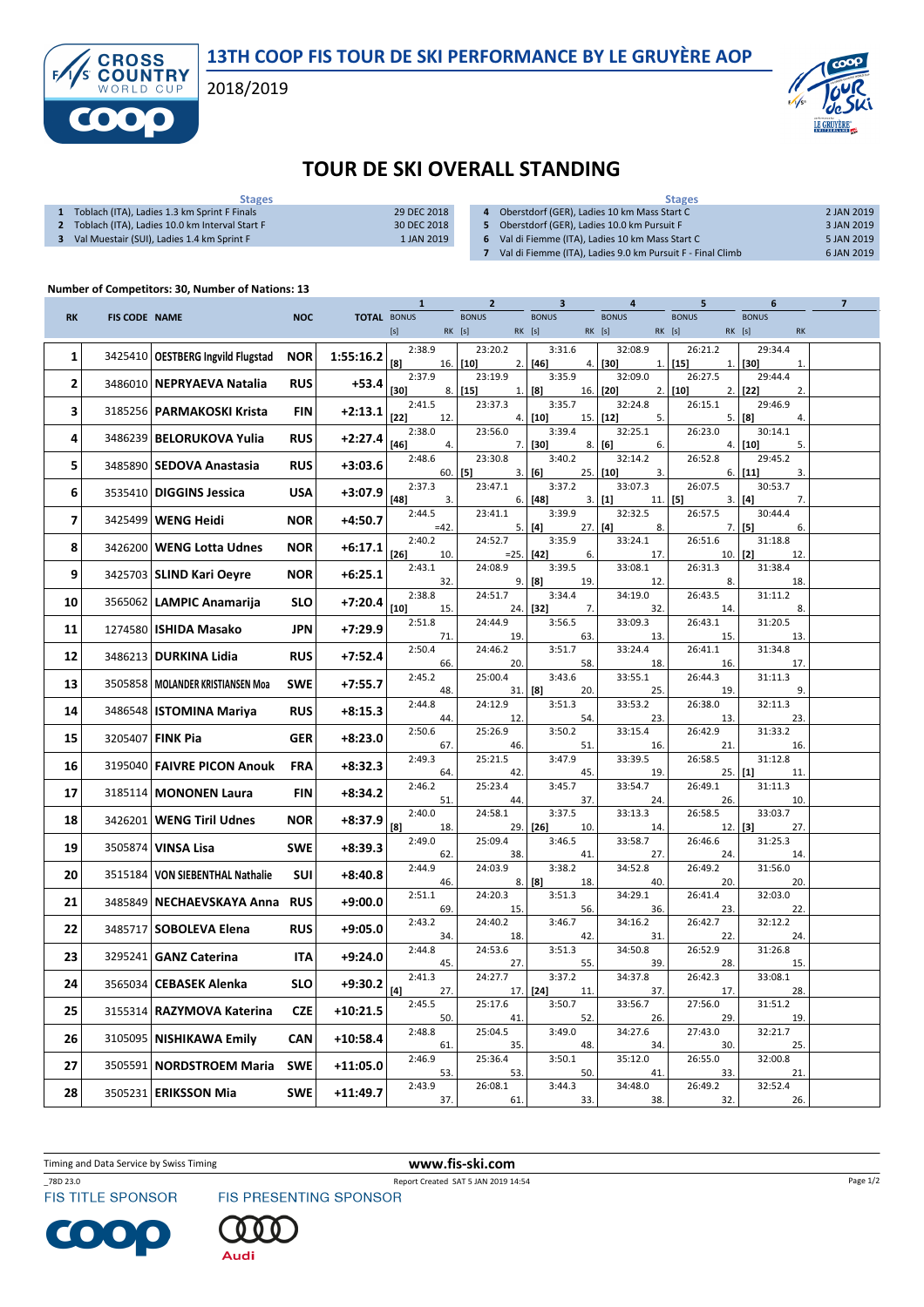13TH COOP FIS TOUR DE SKI PERFORMANCE BY LE GRUYÈRE AOP

2018/2019



## TOUR DE SKI OVERALL STANDING

| <b>Stages</b>                                  |             | <b>Stages</b>                                              |            |  |  |  |
|------------------------------------------------|-------------|------------------------------------------------------------|------------|--|--|--|
| Toblach (ITA), Ladies 1.3 km Sprint F Finals   | 29 DEC 2018 | Oberstdorf (GER), Ladies 10 km Mass Start C                | 2 JAN 2019 |  |  |  |
| Toblach (ITA), Ladies 10.0 km Interval Start F | 30 DEC 2018 | Oberstdorf (GER), Ladies 10.0 km Pursuit F                 | 3 JAN 2019 |  |  |  |
| Val Muestair (SUI), Ladies 1.4 km Sprint F     | 1 JAN 2019  | Val di Fiemme (ITA). Ladies 10 km Mass Start C             | 5 JAN 2019 |  |  |  |
|                                                |             | Val di Fiemme (ITA), Ladies 9.0 km Pursuit F - Final Climb | 6 JAN 2019 |  |  |  |
|                                                |             |                                                            |            |  |  |  |

## Number of Competitors: 30, Number of Nations: 13

**CROSS<br>COUNTRY** 

f

|           |                      |                                  |            |                    | 1                       | 2                           | 3                       |                             | 5                       | 6                                   | 7 |
|-----------|----------------------|----------------------------------|------------|--------------------|-------------------------|-----------------------------|-------------------------|-----------------------------|-------------------------|-------------------------------------|---|
| <b>RK</b> | <b>FIS CODE NAME</b> |                                  | <b>NOC</b> | <b>TOTAL BONUS</b> | $[s]$                   | <b>BONUS</b><br>RK [s]      | <b>BONUS</b><br>RK [s]  | <b>BONUS</b><br>RK [s]      | <b>BONUS</b><br>RK [s]  | <b>BONUS</b><br>RK [s]<br><b>RK</b> |   |
| 1         | 3425410              | <b>OESTBERG Ingvild Flugstad</b> | <b>NOR</b> | 1:55:16.2          | 2:38.9<br>$^{[8]}$      | 23:20.2<br>$16.$ [10]<br>2. | 3:31.6<br>$[46]$<br>4.  | 32:08.9<br>  [30]<br>1.     | 26:21.2<br>$[15]$<br>1. | 29:34.4<br>$[30]$<br>$\mathbf{1}$   |   |
| 2         | 3486010              | NEPRYAEVA Natalia                | <b>RUS</b> | $+53.4$            | 2:37.9<br>$[30]$<br>8.  | 23:19.9<br>$[15]$<br>1.     | 3:35.9<br>[8]<br>16.    | 32:09.0<br>[20]<br>2.       | 26:27.5<br>$[10]$<br>2. | 29:44.4<br>2.<br>$[22]$             |   |
| 3         |                      | 3185256   PARMAKOSKI Krista      | <b>FIN</b> | $+2:13.1$          | 2:41.5<br>$[22]$<br>12. | 23:37.3                     | 3:35.7<br>$[10]$        | 32:24.8<br>$15.$ [12]<br>5. | 26:15.1<br>5.           | 29:46.9<br>[8]<br>4.                |   |
| 4         | 3486239              | <b>BELORUKOVA Yulia</b>          | <b>RUS</b> | $+2:27.4$          | 2:38.0                  | 4.<br>23:56.0               | 3:39.4                  | 32:25.1                     | 26:23.0                 | 30:14.1                             |   |
| 5         | 3485890              | SEDOVA Anastasia                 | <b>RUS</b> | +3:03.6            | [46]<br>4.<br>2:48.6    | 7.<br>23:30.8               | $[30]$<br>3:40.2        | 8.   [6]<br>6.<br>32:14.2   | 4.<br>26:52.8           | $[10]$<br>5.<br>29:45.2             |   |
| 6         | 3535410              | <b>DIGGINS Jessica</b>           | <b>USA</b> | $+3:07.9$          | 2:37.3                  | $60.$ [5]<br>3.<br>23:47.1  | [6]<br>3:37.2           | $25.$ [10]<br>3.<br>33:07.3 | 6.<br>26:07.5           | $[11]$<br>3.<br>30:53.7             |   |
| 7         | 3425499              | <b>WENG Heidi</b>                | <b>NOR</b> | +4:50.7            | $[48]$<br>3.<br>2:44.5  | 6.<br>23:41.1               | $[48]$<br>3:39.9        | 3.   [1]<br>11.<br>32:32.5  | $[5]$<br>3.<br>26:57.5  | $[4]$<br>7.<br>30:44.4              |   |
|           |                      |                                  |            |                    | $=42$                   | 5.                          | $[4]$<br>$27.$ [4]      | 8.                          | 7.                      | $[5]$<br>6.                         |   |
| 8         | 3426200              | <b>WENG Lotta Udnes</b>          | <b>NOR</b> | $+6:17.1$          | 2:40.2<br>[26]<br>10.   | 24:52.7<br>$=25.$           | 3:35.9<br>$[42]$<br>6.  | 33:24.1<br>17.              | 26:51.6<br>10.          | 31:18.8<br>$[2]$<br>12.             |   |
| 9         |                      | 3425703   SLIND Kari Oeyre       | <b>NOR</b> | +6:25.1            | 2:43.1<br>32.           | 24:08.9                     | 3:39.5<br>19.           | 33:08.1<br>12.              | 26:31.3<br>8.           | 31:38.4<br>18.                      |   |
| 10        | 3565062              | LAMPIC Anamarija                 | <b>SLO</b> | +7:20.4            | 2:38.8<br>$[10]$        | 9.<br>24:51.7               | [8]<br>3:34.4           | 34:19.0                     | 26:43.5                 | 31:11.2<br>8.                       |   |
|           |                      | <b>ISHIDA Masako</b>             | <b>JPN</b> | $+7:29.9$          | 15.<br>2:51.8           | 24.<br>24:44.9              | $[32]$<br>7.<br>3:56.5  | 32.<br>33:09.3              | 14.<br>26:43.1          | 31:20.5                             |   |
| 11        | 1274580              |                                  |            |                    | 71<br>2:50.4            | 19<br>24:46.2               | 63.<br>3:51.7           | 13.<br>33:24.4              | 15.<br>26:41.1          | 13.<br>31:34.8                      |   |
| 12        | 3486213              | <b>DURKINA Lidia</b>             | <b>RUS</b> | +7:52.4            | 66.                     | 20.                         | 58.                     | 18.                         | 16.                     | 17.                                 |   |
| 13        | 3505858              | l MOLANDER KRISTIANSEN Moa       | <b>SWE</b> | +7:55.7            | 2:45.2<br>48.           | 25:00.4<br>31.              | 3:43.6<br>[8]<br>20.    | 33:55.1<br>25.              | 26:44.3<br>19.          | 31:11.3<br>9.                       |   |
| 14        | 3486548              | <b>ISTOMINA Mariya</b>           | <b>RUS</b> | +8:15.3            | 2:44.8<br>44.           | 24:12.9<br>12.              | 3:51.3<br>54.           | 33:53.2<br>23.              | 26:38.0<br>13.          | 32:11.3<br>23.                      |   |
| 15        | 3205407              | <b>FINK Pia</b>                  | <b>GER</b> | +8:23.0            | 2:50.6<br>67.           | 25:26.9<br>46.              | 3:50.2<br>51.           | 33:15.4<br>16.              | 26:42.9<br>21.          | 31:33.2<br>16.                      |   |
| 16        | 3195040              | <b>FAIVRE PICON Anouk</b>        | <b>FRA</b> | +8:32.3            | 2:49.3<br>64.           | 25:21.5<br>42               | 3:47.9<br>45.           | 33:39.5<br>19.              | 26:58.5<br>25.          | 31:12.8<br>$[1]$<br>11              |   |
| 17        | 3185114              | <b>MONONEN Laura</b>             | FIN        | +8:34.2            | 2:46.2<br>51            | 25:23.4<br>44.              | 3:45.7<br>37.           | 33:54.7<br>24.              | 26:49.1<br>26.          | 31:11.3<br>10.                      |   |
| 18        | 3426201              | <b>WENG Tiril Udnes</b>          | <b>NOR</b> | +8:37.9            | 2:40.0<br>[8]<br>18.    | 24:58.1<br>29.              | 3:37.5<br>$[26]$<br>10. | 33:13.3<br>14.              | 26:58.5<br>12.          | 33:03.7<br>$[3]$<br>27.             |   |
| 19        | 3505874              | VINSA Lisa                       | <b>SWE</b> | +8:39.3            | 2:49.0<br>62.           | 25:09.4<br>38               | 3:46.5<br>41.           | 33:58.7<br>27.              | 26:46.6<br>24.          | 31:25.3<br>14.                      |   |
| 20        | 3515184              | VON SIEBENTHAL Nathalie          | SUI        | +8:40.8            | 2:44.9<br>46.           | 24:03.9<br>8.               | 3:38.2<br>[8]<br>18.    | 34:52.8<br>40.              | 26:49.2<br>20.          | 31:56.0<br>20.                      |   |
| 21        | 3485849              | <b>NECHAEVSKAYA Anna</b>         | <b>RUS</b> | +9:00.0            | 2:51.1<br>69.           | 24:20.3<br>15.              | 3:51.3<br>56.           | 34:29.1<br>36.              | 26:41.4<br>23.          | 32:03.0<br>22.                      |   |
| 22        | 3485717              | <b>SOBOLEVA Elena</b>            | <b>RUS</b> | +9:05.0            | 2:43.2<br>34.           | 24:40.2<br>18.              | 3:46.7<br>42.           | 34:16.2<br>31.              | 26:42.7<br>22.          | 32:12.2<br>24.                      |   |
| 23        | 3295241              | <b>GANZ Caterina</b>             | <b>ITA</b> | +9:24.0            | 2:44.8<br>45.           | 24:53.6<br>27.              | 3:51.3<br>55.           | 34:50.8<br>39.              | 26:52.9<br>28.          | 31:26.8<br>15.                      |   |
| 24        | 3565034              | CEBASEK Alenka                   | <b>SLO</b> | +9:30.2            | 2:41.3<br>[4]<br>27.    | 24:27.7<br>17.              | 3:37.2<br>$[24]$<br>11. | 34:37.8<br>37.              | 26:42.3<br>17.          | 33:08.1<br>28.                      |   |
| 25        | 3155314              | <b>RAZYMOVA Katerina</b>         | <b>CZE</b> | $+10:21.5$         | 2:45.5<br>50.           | 25:17.6<br>41               | 3:50.7<br>52.           | 33:56.7<br>26.              | 27:56.0<br>29.          | 31:51.2<br>19.                      |   |
| 26        | 3105095              | <b>NISHIKAWA Emily</b>           | <b>CAN</b> | $+10:58.4$         | 2:48.8<br>61.           | 25:04.5<br>35.              | 3:49.0<br>48.           | 34:27.6<br>34.              | 27:43.0<br>30.          | 32:21.7<br>25.                      |   |
| 27        | 3505591              | <b>NORDSTROEM Maria</b>          | <b>SWE</b> | $+11:05.0$         | 2:46.9                  | 25:36.4                     | 3:50.1                  | 35:12.0                     | 26:55.0                 | 32:00.8                             |   |
| 28        | 3505231              | <b>ERIKSSON Mia</b>              | <b>SWE</b> | $+11:49.7$         | 53.<br>2:43.9           | 53.<br>26:08.1              | 50.<br>3:44.3           | 41<br>34:48.0               | 33.<br>26:49.2          | 21<br>32:52.4                       |   |
|           |                      |                                  |            |                    | 37.                     | 61.                         | 33.                     | 38.                         | 32.                     | 26.                                 |   |

Timing and Data Service by Swiss Timing WWW.fis-ski.com

\_78D 23.0 Report Created SAT 5 JAN 2019 14:54<br>FIS TITLE SPONSOR FIS PRESENTING SPONSOR





Page 1/2